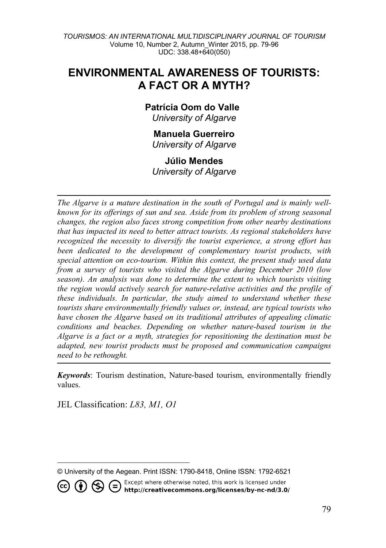## **ENVIRONMENTAL AWARENESS OF TOURISTS: A FACT OR A MYTH?**

# **Patrícia Oom do Valle[1](#page-0-0)**

*University of Algarve*

#### **Manuela Guerreiro** *University of Algarve*

#### **Júlio Mendes**

*University of Algarve*

*The Algarve is a mature destination in the south of Portugal and is mainly wellknown for its offerings of sun and sea. Aside from its problem of strong seasonal changes, the region also faces strong competition from other nearby destinations that has impacted its need to better attract tourists. As regional stakeholders have recognized the necessity to diversify the tourist experience, a strong effort has been dedicated to the development of complementary tourist products, with special attention on eco-tourism. Within this context, the present study used data from a survey of tourists who visited the Algarve during December 2010 (low season). An analysis was done to determine the extent to which tourists visiting the region would actively search for nature-relative activities and the profile of these individuals. In particular, the study aimed to understand whether these tourists share environmentally friendly values or, instead, are typical tourists who have chosen the Algarve based on its traditional attributes of appealing climatic conditions and beaches. Depending on whether nature-based tourism in the Algarve is a fact or a myth, strategies for repositioning the destination must be adapted, new tourist products must be proposed and communication campaigns need to be rethought.*

*Keywords*: Tourism destination, Nature-based tourism, environmentally friendly values.

JEL Classification: *L83, M1, O1*

 $\overline{a}$ 

(cc)

<span id="page-0-0"></span><sup>©</sup> University of the Aegean. Print ISSN: 1790-8418, Online ISSN: 1792-6521

Except where otherwise noted, this work is licensed under  $\left( \mathbf{\hat{i}}\right) \otimes \in$ http://creativecommons.org/licenses/by-nc-nd/3.0/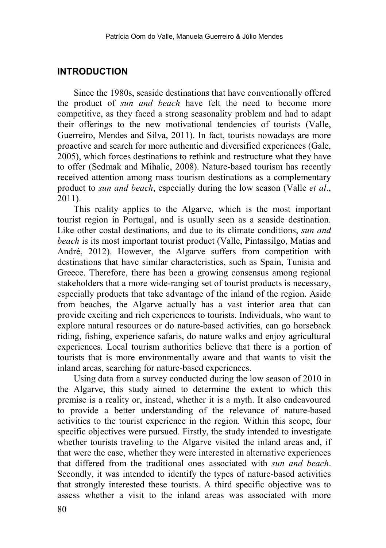#### **INTRODUCTION**

Since the 1980s, seaside destinations that have conventionally offered the product of *sun and beach* have felt the need to become more competitive, as they faced a strong seasonality problem and had to adapt their offerings to the new motivational tendencies of tourists (Valle, Guerreiro, Mendes and Silva, 2011). In fact, tourists nowadays are more proactive and search for more authentic and diversified experiences (Gale, 2005), which forces destinations to rethink and restructure what they have to offer (Sedmak and Mihalic, 2008). Nature-based tourism has recently received attention among mass tourism destinations as a complementary product to *sun and beach*, especially during the low season (Valle *et al*., 2011).

This reality applies to the Algarve, which is the most important tourist region in Portugal, and is usually seen as a seaside destination. Like other costal destinations, and due to its climate conditions, *sun and beach* is its most important tourist product (Valle, Pintassilgo, Matias and André, 2012). However, the Algarve suffers from competition with destinations that have similar characteristics, such as Spain, Tunisia and Greece. Therefore, there has been a growing consensus among regional stakeholders that a more wide-ranging set of tourist products is necessary, especially products that take advantage of the inland of the region. Aside from beaches, the Algarve actually has a vast interior area that can provide exciting and rich experiences to tourists. Individuals, who want to explore natural resources or do nature-based activities, can go horseback riding, fishing, experience safaris, do nature walks and enjoy agricultural experiences. Local tourism authorities believe that there is a portion of tourists that is more environmentally aware and that wants to visit the inland areas, searching for nature-based experiences.

Using data from a survey conducted during the low season of 2010 in the Algarve, this study aimed to determine the extent to which this premise is a reality or, instead, whether it is a myth. It also endeavoured to provide a better understanding of the relevance of nature-based activities to the tourist experience in the region. Within this scope, four specific objectives were pursued. Firstly, the study intended to investigate whether tourists traveling to the Algarve visited the inland areas and, if that were the case, whether they were interested in alternative experiences that differed from the traditional ones associated with *sun and beach*. Secondly, it was intended to identify the types of nature-based activities that strongly interested these tourists. A third specific objective was to assess whether a visit to the inland areas was associated with more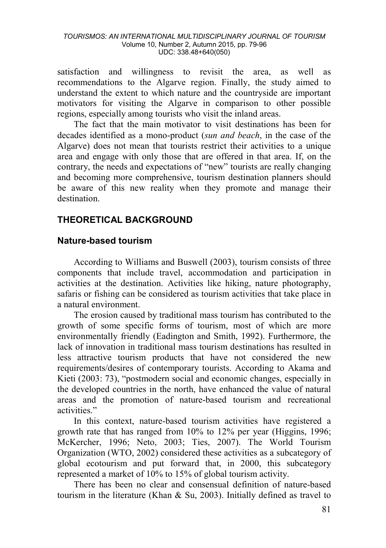satisfaction and willingness to revisit the area, as well as recommendations to the Algarve region. Finally, the study aimed to understand the extent to which nature and the countryside are important motivators for visiting the Algarve in comparison to other possible regions, especially among tourists who visit the inland areas.

The fact that the main motivator to visit destinations has been for decades identified as a mono-product (*sun and beach*, in the case of the Algarve) does not mean that tourists restrict their activities to a unique area and engage with only those that are offered in that area. If, on the contrary, the needs and expectations of "new" tourists are really changing and becoming more comprehensive, tourism destination planners should be aware of this new reality when they promote and manage their destination.

## **THEORETICAL BACKGROUND**

#### **Nature-based tourism**

According to Williams and Buswell (2003), tourism consists of three components that include travel, accommodation and participation in activities at the destination. Activities like hiking, nature photography, safaris or fishing can be considered as tourism activities that take place in a natural environment.

The erosion caused by traditional mass tourism has contributed to the growth of some specific forms of tourism, most of which are more environmentally friendly (Eadington and Smith, 1992). Furthermore, the lack of innovation in traditional mass tourism destinations has resulted in less attractive tourism products that have not considered the new requirements/desires of contemporary tourists. According to Akama and Kieti (2003: 73), "postmodern social and economic changes, especially in the developed countries in the north, have enhanced the value of natural areas and the promotion of nature-based tourism and recreational activities."

In this context, nature-based tourism activities have registered a growth rate that has ranged from 10% to 12% per year (Higgins, 1996; McKercher, 1996; Neto, 2003; Ties, 2007). The World Tourism Organization (WTO, 2002) considered these activities as a subcategory of global ecotourism and put forward that, in 2000, this subcategory represented a market of 10% to 15% of global tourism activity.

There has been no clear and consensual definition of nature-based tourism in the literature (Khan & Su, 2003). Initially defined as travel to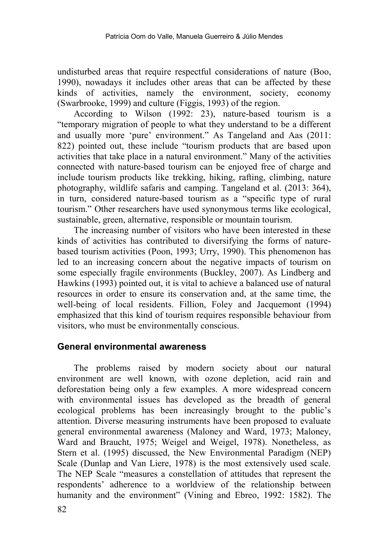undisturbed areas that require respectful considerations of nature (Boo, 1990), nowadays it includes other areas that can be affected by these kinds of activities, namely the environment, society, economy (Swarbrooke, 1999) and culture (Figgis, 1993) of the region.

According to Wilson (1992: 23), nature-based tourism is a "temporary migration of people to what they understand to be a different and usually more 'pure' environment." As Tangeland and Aas (2011: 822) pointed out, these include "tourism products that are based upon activities that take place in a natural environment." Many of the activities connected with nature-based tourism can be enjoyed free of charge and include tourism products like trekking, hiking, rafting, climbing, nature photography, wildlife safaris and camping. Tangeland et al. (2013: 364), in turn, considered nature-based tourism as a "specific type of rural tourism." Other researchers have used synonymous terms like ecological, sustainable, green, alternative, responsible or mountain tourism.

The increasing number of visitors who have been interested in these kinds of activities has contributed to diversifying the forms of naturebased tourism activities (Poon, 1993; Urry, 1990). This phenomenon has led to an increasing concern about the negative impacts of tourism on some especially fragile environments (Buckley, 2007). As Lindberg and Hawkins (1993) pointed out, it is vital to achieve a balanced use of natural resources in order to ensure its conservation and, at the same time, the well-being of local residents. Fillion, Foley and Jacquemont (1994) emphasized that this kind of tourism requires responsible behaviour from visitors, who must be environmentally conscious.

#### **General environmental awareness**

The problems raised by modern society about our natural environment are well known, with ozone depletion, acid rain and deforestation being only a few examples. A more widespread concern with environmental issues has developed as the breadth of general ecological problems has been increasingly brought to the public's attention. Diverse measuring instruments have been proposed to evaluate general environmental awareness (Maloney and Ward, 1973; Maloney, Ward and Braucht, 1975; Weigel and Weigel, 1978). Nonetheless, as Stern et al. (1995) discussed, the New Environmental Paradigm (NEP) Scale (Dunlap and Van Liere, 1978) is the most extensively used scale. The NEP Scale "measures a constellation of attitudes that represent the respondents' adherence to a worldview of the relationship between humanity and the environment" (Vining and Ebreo, 1992: 1582). The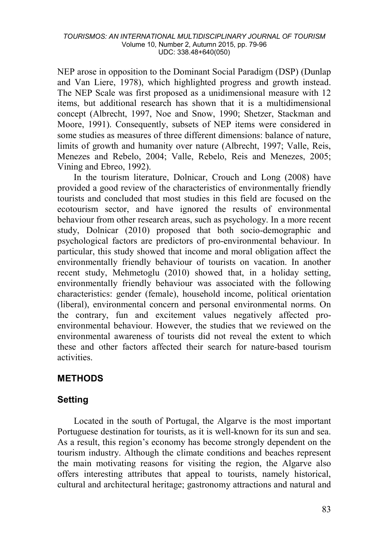NEP arose in opposition to the Dominant Social Paradigm (DSP) (Dunlap and Van Liere, 1978), which highlighted progress and growth instead. The NEP Scale was first proposed as a unidimensional measure with 12 items, but additional research has shown that it is a multidimensional concept (Albrecht, 1997, Noe and Snow, 1990; Shetzer, Stackman and Moore, 1991). Consequently, subsets of NEP items were considered in some studies as measures of three different dimensions: balance of nature, limits of growth and humanity over nature (Albrecht, 1997; Valle, Reis, Menezes and Rebelo, 2004; Valle, Rebelo, Reis and Menezes, 2005; Vining and Ebreo, 1992).

In the tourism literature, Dolnicar, Crouch and Long (2008) have provided a good review of the characteristics of environmentally friendly tourists and concluded that most studies in this field are focused on the ecotourism sector, and have ignored the results of environmental behaviour from other research areas, such as psychology. In a more recent study, Dolnicar (2010) proposed that both socio-demographic and psychological factors are predictors of pro-environmental behaviour. In particular, this study showed that income and moral obligation affect the environmentally friendly behaviour of tourists on vacation. In another recent study, Mehmetoglu (2010) showed that, in a holiday setting, environmentally friendly behaviour was associated with the following characteristics: gender (female), household income, political orientation (liberal), environmental concern and personal environmental norms. On the contrary, fun and excitement values negatively affected proenvironmental behaviour. However, the studies that we reviewed on the environmental awareness of tourists did not reveal the extent to which these and other factors affected their search for nature-based tourism activities.

## **METHODS**

## **Setting**

Located in the south of Portugal, the Algarve is the most important Portuguese destination for tourists, as it is well-known for its sun and sea. As a result, this region's economy has become strongly dependent on the tourism industry. Although the climate conditions and beaches represent the main motivating reasons for visiting the region, the Algarve also offers interesting attributes that appeal to tourists, namely historical, cultural and architectural heritage; gastronomy attractions and natural and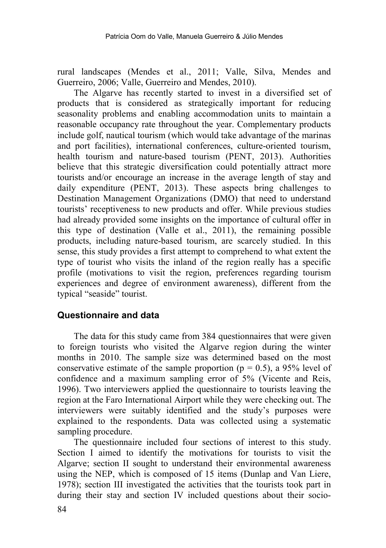rural landscapes (Mendes et al., 2011; Valle, Silva, Mendes and Guerreiro, 2006; Valle, Guerreiro and Mendes, 2010).

The Algarve has recently started to invest in a diversified set of products that is considered as strategically important for reducing seasonality problems and enabling accommodation units to maintain a reasonable occupancy rate throughout the year. Complementary products include golf, nautical tourism (which would take advantage of the marinas and port facilities), international conferences, culture-oriented tourism, health tourism and nature-based tourism (PENT, 2013). Authorities believe that this strategic diversification could potentially attract more tourists and/or encourage an increase in the average length of stay and daily expenditure (PENT, 2013). These aspects bring challenges to Destination Management Organizations (DMO) that need to understand tourists' receptiveness to new products and offer. While previous studies had already provided some insights on the importance of cultural offer in this type of destination (Valle et al., 2011), the remaining possible products, including nature-based tourism, are scarcely studied. In this sense, this study provides a first attempt to comprehend to what extent the type of tourist who visits the inland of the region really has a specific profile (motivations to visit the region, preferences regarding tourism experiences and degree of environment awareness), different from the typical "seaside" tourist.

#### **Questionnaire and data**

The data for this study came from 384 questionnaires that were given to foreign tourists who visited the Algarve region during the winter months in 2010. The sample size was determined based on the most conservative estimate of the sample proportion ( $p = 0.5$ ), a 95% level of confidence and a maximum sampling error of 5% (Vicente and Reis, 1996). Two interviewers applied the questionnaire to tourists leaving the region at the Faro International Airport while they were checking out. The interviewers were suitably identified and the study's purposes were explained to the respondents. Data was collected using a systematic sampling procedure.

The questionnaire included four sections of interest to this study. Section I aimed to identify the motivations for tourists to visit the Algarve; section II sought to understand their environmental awareness using the NEP, which is composed of 15 items (Dunlap and Van Liere, 1978); section III investigated the activities that the tourists took part in during their stay and section IV included questions about their socio-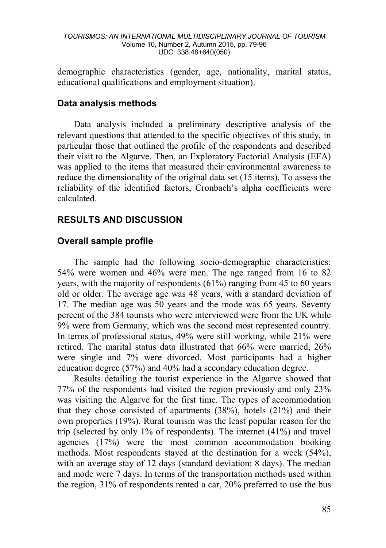demographic characteristics (gender, age, nationality, marital status, educational qualifications and employment situation).

#### **Data analysis methods**

Data analysis included a preliminary descriptive analysis of the relevant questions that attended to the specific objectives of this study, in particular those that outlined the profile of the respondents and described their visit to the Algarve. Then, an Exploratory Factorial Analysis (EFA) was applied to the items that measured their environmental awareness to reduce the dimensionality of the original data set (15 items). To assess the reliability of the identified factors, Cronbach's alpha coefficients were calculated.

## **RESULTS AND DISCUSSION**

## **Overall sample profile**

The sample had the following socio-demographic characteristics: 54% were women and 46% were men. The age ranged from 16 to 82 years, with the majority of respondents (61%) ranging from 45 to 60 years old or older. The average age was 48 years, with a standard deviation of 17. The median age was 50 years and the mode was 65 years. Seventy percent of the 384 tourists who were interviewed were from the UK while 9% were from Germany, which was the second most represented country. In terms of professional status, 49% were still working, while 21% were retired. The marital status data illustrated that 66% were married, 26% were single and 7% were divorced. Most participants had a higher education degree (57%) and 40% had a secondary education degree.

Results detailing the tourist experience in the Algarve showed that 77% of the respondents had visited the region previously and only 23% was visiting the Algarve for the first time. The types of accommodation that they chose consisted of apartments (38%), hotels (21%) and their own properties (19%). Rural tourism was the least popular reason for the trip (selected by only 1% of respondents). The internet (41%) and travel agencies (17%) were the most common accommodation booking methods. Most respondents stayed at the destination for a week (54%), with an average stay of 12 days (standard deviation: 8 days). The median and mode were 7 days. In terms of the transportation methods used within the region, 31% of respondents rented a car, 20% preferred to use the bus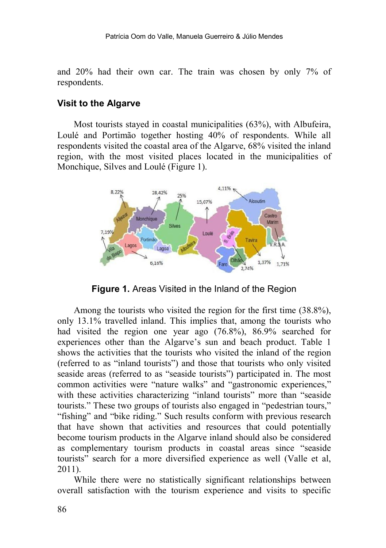and 20% had their own car. The train was chosen by only 7% of respondents.

#### **Visit to the Algarve**

Most tourists stayed in coastal municipalities (63%), with Albufeira, Loulé and Portimão together hosting 40% of respondents. While all respondents visited the coastal area of the Algarve, 68% visited the inland region, with the most visited places located in the municipalities of Monchique, Silves and Loulé (Figure 1).



**Figure 1.** Areas Visited in the Inland of the Region

Among the tourists who visited the region for the first time (38.8%), only 13.1% travelled inland. This implies that, among the tourists who had visited the region one year ago (76.8%), 86.9% searched for experiences other than the Algarve's sun and beach product. Table 1 shows the activities that the tourists who visited the inland of the region (referred to as "inland tourists") and those that tourists who only visited seaside areas (referred to as "seaside tourists") participated in. The most common activities were "nature walks" and "gastronomic experiences," with these activities characterizing "inland tourists" more than "seaside tourists." These two groups of tourists also engaged in "pedestrian tours," "fishing" and "bike riding." Such results conform with previous research that have shown that activities and resources that could potentially become tourism products in the Algarve inland should also be considered as complementary tourism products in coastal areas since "seaside tourists" search for a more diversified experience as well (Valle et al, 2011).

While there were no statistically significant relationships between overall satisfaction with the tourism experience and visits to specific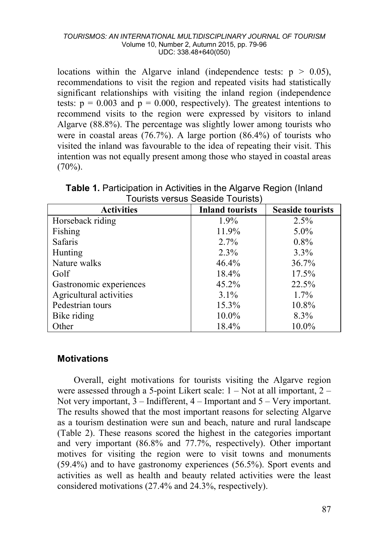locations within the Algarve inland (independence tests:  $p > 0.05$ ), recommendations to visit the region and repeated visits had statistically significant relationships with visiting the inland region (independence tests:  $p = 0.003$  and  $p = 0.000$ , respectively). The greatest intentions to recommend visits to the region were expressed by visitors to inland Algarve (88.8%). The percentage was slightly lower among tourists who were in coastal areas (76.7%). A large portion (86.4%) of tourists who visited the inland was favourable to the idea of repeating their visit. This intention was not equally present among those who stayed in coastal areas  $(70\%)$ .

| <b>Activities</b>       | <b>Inland tourists</b> | <b>Seaside tourists</b> |  |  |  |  |  |
|-------------------------|------------------------|-------------------------|--|--|--|--|--|
| Horseback riding        | $1.9\%$                | 2.5%                    |  |  |  |  |  |
| Fishing                 | 11.9%                  | $5.0\%$                 |  |  |  |  |  |
| <b>Safaris</b>          | $2.7\%$                | $0.8\%$                 |  |  |  |  |  |
| Hunting                 | $2.3\%$                | $3.3\%$                 |  |  |  |  |  |
| Nature walks            | 46.4%                  | 36.7%                   |  |  |  |  |  |
| Golf                    | 18.4%                  | 17.5%                   |  |  |  |  |  |
| Gastronomic experiences | $45.2\%$               | 22.5%                   |  |  |  |  |  |
| Agricultural activities | $3.1\%$                | $1.7\%$                 |  |  |  |  |  |
| Pedestrian tours        | 15.3%                  | 10.8%                   |  |  |  |  |  |
| Bike riding             | $10.0\%$               | 8.3%                    |  |  |  |  |  |
| Other                   | 18.4%                  | 10.0%                   |  |  |  |  |  |

**Table 1. Participation in Activities in the Algarve Region (Inland)** Tourists versus Seaside Tourists)

#### **Motivations**

Overall, eight motivations for tourists visiting the Algarve region were assessed through a 5-point Likert scale:  $1 - Not$  at all important,  $2 -$ Not very important,  $3$  – Indifferent,  $4$  – Important and  $5$  – Very important. The results showed that the most important reasons for selecting Algarve as a tourism destination were sun and beach, nature and rural landscape (Table 2). These reasons scored the highest in the categories important and very important (86.8% and 77.7%, respectively). Other important motives for visiting the region were to visit towns and monuments (59.4%) and to have gastronomy experiences (56.5%). Sport events and activities as well as health and beauty related activities were the least considered motivations (27.4% and 24.3%, respectively).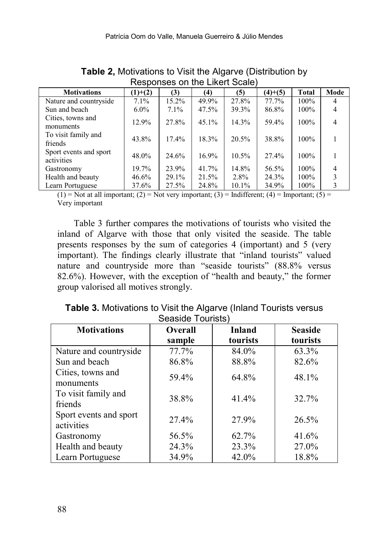| Responses on the Likert Scale)       |           |         |       |       |           |         |      |
|--------------------------------------|-----------|---------|-------|-------|-----------|---------|------|
| <b>Motivations</b>                   | $(1)+(2)$ | (3)     | (4)   | (5)   | $(4)+(5)$ | Total   | Mode |
| Nature and countryside               | 7.1%      | 15.2%   | 49.9% | 27.8% | 77.7%     | 100%    | 4    |
| Sun and beach                        | $6.0\%$   | $7.1\%$ | 47.5% | 39.3% | 86.8%     | 100%    |      |
| Cities, towns and<br>monuments       | 12.9%     | 27.8%   | 45.1% | 14.3% | 59.4%     | 100%    | 4    |
| To visit family and<br>friends       | 43.8%     | 17.4%   | 18.3% | 20.5% | 38.8%     | 100%    |      |
| Sport events and sport<br>activities | 48.0%     | 24.6%   | 16.9% | 10.5% | 27.4%     | 100%    |      |
| Gastronomy                           | 19.7%     | 23.9%   | 41.7% | 14.8% | 56.5%     | $100\%$ |      |
| Health and beauty                    | 46.6%     | 29.1%   | 21.5% | 2.8%  | 24.3%     | $100\%$ |      |
| Learn Portuguese                     | 37.6%     | 27.5%   | 24.8% | 10.1% | 34.9%     | 100%    |      |

**Table 2,** Motivations to Visit the Algarve (Distribution by

 $(1)$  = Not at all important; (2) = Not very important; (3) = Indifferent; (4) = Important; (5) = Very important

Table 3 further compares the motivations of tourists who visited the inland of Algarve with those that only visited the seaside. The table presents responses by the sum of categories 4 (important) and 5 (very important). The findings clearly illustrate that "inland tourists" valued nature and countryside more than "seaside tourists" (88.8% versus 82.6%). However, with the exception of "health and beauty," the former group valorised all motives strongly.

| <b>Table 3. Motivations to Visit the Algarve (Inland Tourists versus)</b> |  |  |  |  |  |  |
|---------------------------------------------------------------------------|--|--|--|--|--|--|
| Seaside Tourists)                                                         |  |  |  |  |  |  |
|                                                                           |  |  |  |  |  |  |

| <b>Motivations</b>     | <b>Overall</b> | <b>Inland</b> | <b>Seaside</b> |
|------------------------|----------------|---------------|----------------|
|                        | sample         | tourists      | tourists       |
| Nature and countryside | 77.7%          | 84.0%         | 63.3%          |
| Sun and beach          | 86.8%          | 88.8%         | 82.6%          |
| Cities, towns and      | 59.4%          | 64.8%         | 48.1%          |
| monuments              |                |               |                |
| To visit family and    | 38.8%          | 41.4%         | 32.7%          |
| friends                |                |               |                |
| Sport events and sport | 27.4%          | 27.9%         | 26.5%          |
| activities             |                |               |                |
| Gastronomy             | 56.5%          | 62.7%         | 41.6%          |
| Health and beauty      | 24.3%          | 23.3%         | 27.0%          |
| Learn Portuguese       | 34.9%          | 42.0%         | 18.8%          |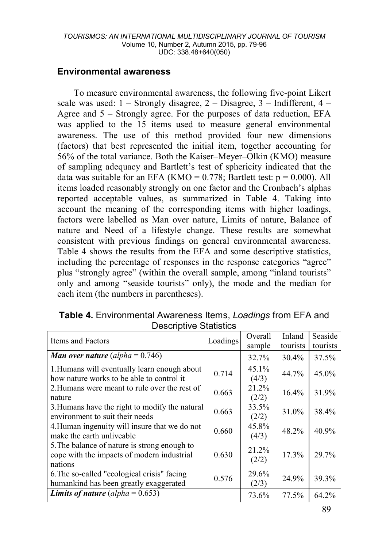#### **Environmental awareness**

To measure environmental awareness, the following five-point Likert scale was used:  $1 -$  Strongly disagree,  $2 -$  Disagree,  $3 -$  Indifferent,  $4 -$ Agree and  $5 -$  Strongly agree. For the purposes of data reduction, EFA was applied to the 15 items used to measure general environmental awareness. The use of this method provided four new dimensions (factors) that best represented the initial item, together accounting for 56% of the total variance. Both the Kaiser–Meyer–Olkin (KMO) measure of sampling adequacy and Bartlett's test of sphericity indicated that the data was suitable for an EFA (KMO =  $0.778$ ; Bartlett test:  $p = 0.000$ ). All items loaded reasonably strongly on one factor and the Cronbach's alphas reported acceptable values, as summarized in Table 4. Taking into account the meaning of the corresponding items with higher loadings, factors were labelled as Man over nature, Limits of nature, Balance of nature and Need of a lifestyle change. These results are somewhat consistent with previous findings on general environmental awareness. Table 4 shows the results from the EFA and some descriptive statistics, including the percentage of responses in the response categories "agree" plus "strongly agree" (within the overall sample, among "inland tourists" only and among "seaside tourists" only), the mode and the median for each item (the numbers in parentheses).

| Dooonpuvo Olallouos                                                                                   |          |                |          |          |  |  |
|-------------------------------------------------------------------------------------------------------|----------|----------------|----------|----------|--|--|
| Items and Factors                                                                                     | Loadings | Overall        | Inland   | Seaside  |  |  |
|                                                                                                       |          | sample         | tourists | tourists |  |  |
| <b>Man over nature</b> (alpha = $0.746$ )                                                             |          | 32.7%          | $30.4\%$ | 37.5%    |  |  |
| 1. Humans will eventually learn enough about<br>how nature works to be able to control it             | 0.714    | 45.1%<br>(4/3) | 44.7%    | 45.0%    |  |  |
| 2. Humans were meant to rule over the rest of<br>nature                                               | 0.663    | 21.2%<br>(2/2) | 16.4%    | 31.9%    |  |  |
| 3. Humans have the right to modify the natural<br>environment to suit their needs                     | 0.663    | 33.5%<br>(2/2) | 31.0%    | 38.4%    |  |  |
| 4. Human ingenuity will insure that we do not<br>make the earth unliveable                            | 0.660    | 45.8%<br>(4/3) | 48.2%    | 40.9%    |  |  |
| 5. The balance of nature is strong enough to<br>cope with the impacts of modern industrial<br>nations | 0.630    | 21.2%<br>(2/2) | 17.3%    | 29.7%    |  |  |
| 6. The so-called "ecological crisis" facing<br>humankind has been greatly exaggerated                 | 0.576    | 29.6%<br>(2/3) | 24.9%    | 39.3%    |  |  |
| <b>Limits of nature</b> (alpha = $0.653$ )                                                            |          | 73.6%          | 77.5%    | 64.2%    |  |  |

**Table 4.** Environmental Awareness Items, *Loadings* from EFA and Descriptive Statistics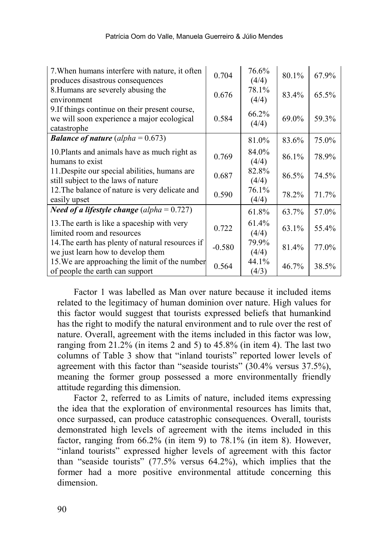| 7. When humans interfere with nature, it often<br>produces disastrous consequences                          | 0.704    | 76.6%<br>(4/4) | 80.1% | 67.9% |
|-------------------------------------------------------------------------------------------------------------|----------|----------------|-------|-------|
| 8. Humans are severely abusing the<br>environment                                                           | 0.676    | 78.1%<br>(4/4) | 83.4% | 65.5% |
| 9. If things continue on their present course,<br>we will soon experience a major ecological<br>catastrophe | 0.584    | 66.2%<br>(4/4) | 69.0% | 59.3% |
| <b>Balance of nature</b> (alpha = $0.673$ )                                                                 |          | 81.0%          | 83.6% | 75.0% |
| 10. Plants and animals have as much right as<br>humans to exist                                             | 0.769    | 84.0%<br>(4/4) | 86.1% | 78.9% |
| 11. Despite our special abilities, humans are<br>still subject to the laws of nature                        | 0.687    | 82.8%<br>(4/4) | 86.5% | 74.5% |
| 12. The balance of nature is very delicate and<br>easily upset                                              | 0.590    | 76.1%<br>(4/4) | 78.2% | 71.7% |
| <i>Need of a lifestyle change (alpha</i> = $0.727$ )                                                        |          | 61.8%          | 63.7% | 57.0% |
| 13. The earth is like a spaceship with very<br>limited room and resources                                   | 0.722    | 61.4%<br>(4/4) | 63.1% | 55.4% |
| 14. The earth has plenty of natural resources if<br>we just learn how to develop them                       | $-0.580$ | 79.9%<br>(4/4) | 81.4% | 77.0% |
| 15. We are approaching the limit of the number<br>of people the earth can support                           | 0.564    | 44.1%<br>(4/3) | 46.7% | 38.5% |

Factor 1 was labelled as Man over nature because it included items related to the legitimacy of human dominion over nature. High values for this factor would suggest that tourists expressed beliefs that humankind has the right to modify the natural environment and to rule over the rest of nature. Overall, agreement with the items included in this factor was low, ranging from 21.2% (in items 2 and 5) to 45.8% (in item 4). The last two columns of Table 3 show that "inland tourists" reported lower levels of agreement with this factor than "seaside tourists" (30.4% versus 37.5%), meaning the former group possessed a more environmentally friendly attitude regarding this dimension.

Factor 2, referred to as Limits of nature, included items expressing the idea that the exploration of environmental resources has limits that, once surpassed, can produce catastrophic consequences. Overall, tourists demonstrated high levels of agreement with the items included in this factor, ranging from 66.2% (in item 9) to 78.1% (in item 8). However, "inland tourists" expressed higher levels of agreement with this factor than "seaside tourists" (77.5% versus 64.2%), which implies that the former had a more positive environmental attitude concerning this dimension.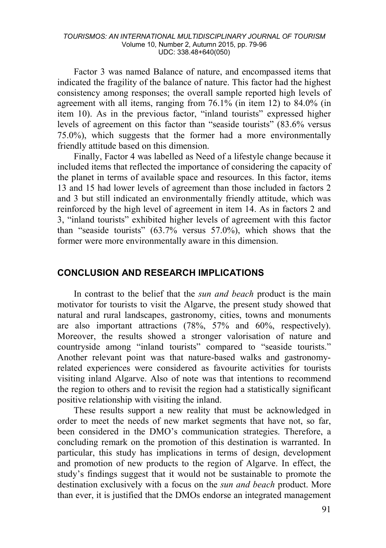Factor 3 was named Balance of nature, and encompassed items that indicated the fragility of the balance of nature. This factor had the highest consistency among responses; the overall sample reported high levels of agreement with all items, ranging from 76.1% (in item 12) to 84.0% (in item 10). As in the previous factor, "inland tourists" expressed higher levels of agreement on this factor than "seaside tourists" (83.6% versus 75.0%), which suggests that the former had a more environmentally friendly attitude based on this dimension.

Finally, Factor 4 was labelled as Need of a lifestyle change because it included items that reflected the importance of considering the capacity of the planet in terms of available space and resources. In this factor, items 13 and 15 had lower levels of agreement than those included in factors 2 and 3 but still indicated an environmentally friendly attitude, which was reinforced by the high level of agreement in item 14. As in factors 2 and 3, "inland tourists" exhibited higher levels of agreement with this factor than "seaside tourists" (63.7% versus 57.0%), which shows that the former were more environmentally aware in this dimension.

#### **CONCLUSION AND RESEARCH IMPLICATIONS**

In contrast to the belief that the *sun and beach* product is the main motivator for tourists to visit the Algarve, the present study showed that natural and rural landscapes, gastronomy, cities, towns and monuments are also important attractions (78%, 57% and 60%, respectively). Moreover, the results showed a stronger valorisation of nature and countryside among "inland tourists" compared to "seaside tourists." Another relevant point was that nature-based walks and gastronomyrelated experiences were considered as favourite activities for tourists visiting inland Algarve. Also of note was that intentions to recommend the region to others and to revisit the region had a statistically significant positive relationship with visiting the inland.

These results support a new reality that must be acknowledged in order to meet the needs of new market segments that have not, so far, been considered in the DMO's communication strategies. Therefore, a concluding remark on the promotion of this destination is warranted. In particular, this study has implications in terms of design, development and promotion of new products to the region of Algarve. In effect, the study's findings suggest that it would not be sustainable to promote the destination exclusively with a focus on the *sun and beach* product. More than ever, it is justified that the DMOs endorse an integrated management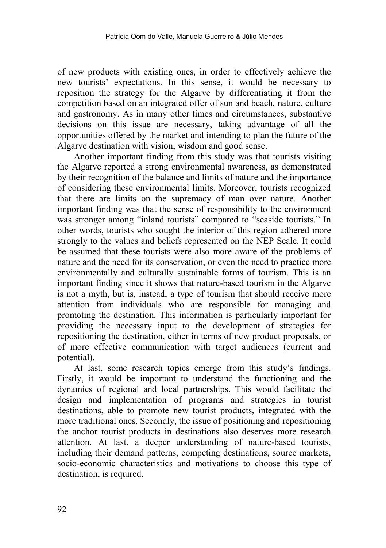of new products with existing ones, in order to effectively achieve the new tourists' expectations. In this sense, it would be necessary to reposition the strategy for the Algarve by differentiating it from the competition based on an integrated offer of sun and beach, nature, culture and gastronomy. As in many other times and circumstances, substantive decisions on this issue are necessary, taking advantage of all the opportunities offered by the market and intending to plan the future of the Algarve destination with vision, wisdom and good sense.

Another important finding from this study was that tourists visiting the Algarve reported a strong environmental awareness, as demonstrated by their recognition of the balance and limits of nature and the importance of considering these environmental limits. Moreover, tourists recognized that there are limits on the supremacy of man over nature. Another important finding was that the sense of responsibility to the environment was stronger among "inland tourists" compared to "seaside tourists." In other words, tourists who sought the interior of this region adhered more strongly to the values and beliefs represented on the NEP Scale. It could be assumed that these tourists were also more aware of the problems of nature and the need for its conservation, or even the need to practice more environmentally and culturally sustainable forms of tourism. This is an important finding since it shows that nature-based tourism in the Algarve is not a myth, but is, instead, a type of tourism that should receive more attention from individuals who are responsible for managing and promoting the destination. This information is particularly important for providing the necessary input to the development of strategies for repositioning the destination, either in terms of new product proposals, or of more effective communication with target audiences (current and potential).

At last, some research topics emerge from this study's findings. Firstly, it would be important to understand the functioning and the dynamics of regional and local partnerships. This would facilitate the design and implementation of programs and strategies in tourist destinations, able to promote new tourist products, integrated with the more traditional ones. Secondly, the issue of positioning and repositioning the anchor tourist products in destinations also deserves more research attention. At last, a deeper understanding of nature-based tourists, including their demand patterns, competing destinations, source markets, socio-economic characteristics and motivations to choose this type of destination, is required.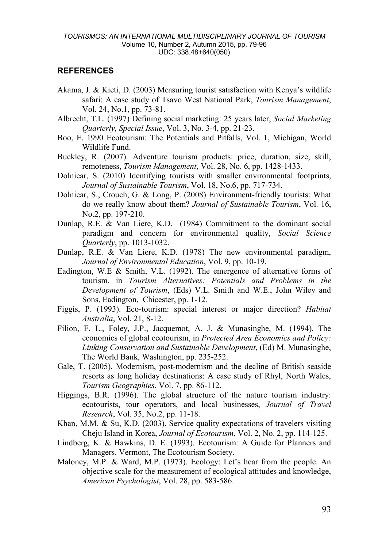#### **REFERENCES**

- Akama, J. & Kieti, D. (2003) Measuring tourist satisfaction with Kenya's wildlife safari: A case study of Tsavo West National Park, *Tourism Management*, Vol. 24, No.1, pp. 73-81.
- Albrecht, T.L. (1997) Defining social marketing: 25 years later, *Social Marketing Quarterly, Special Issue*, Vol. 3, No. 3-4, pp. 21-23.
- Boo, E. 1990 Ecotourism: The Potentials and Pitfalls, Vol. 1, Michigan, World Wildlife Fund.
- Buckley, R. (2007). Adventure tourism products: price, duration, size, skill, remoteness, *Tourism Management*, Vol. 28, No. 6, pp. 1428-1433.
- Dolnicar, S. (2010) Identifying tourists with smaller environmental footprints, *Journal of Sustainable Tourism*, Vol. 18, No.6, pp. 717-734.
- Dolnicar, S., Crouch, G. & Long, P. (2008) Environment-friendly tourists: What do we really know about them? *Journal of Sustainable Tourism*, Vol. 16, No.2, pp. 197-210.
- Dunlap, R.E. & Van Liere, K.D. (1984) Commitment to the dominant social paradigm and concern for environmental quality, *Social Science Quarterly*, pp. 1013-1032.
- Dunlap, R.E. & Van Liere, K.D. (1978) The new environmental paradigm, *Journal of Environmental Education*, Vol. 9, pp. 10-19.
- Eadington, W.E & Smith, V.L. (1992). The emergence of alternative forms of tourism, in *Tourism Alternatives: Potentials and Problems in the Development of Tourism*, (Eds) V.L. Smith and W.E., John Wiley and Sons, Eadington, Chicester, pp. 1-12.
- Figgis, P. (1993). Eco-tourism: special interest or major direction? *Habitat Australia*, Vol. 21, 8-12.
- Filion, F. L., Foley, J.P., Jacquemot, A. J. & Munasinghe, M. (1994). The economics of global ecotourism, in *Protected Area Economics and Policy: Linking Conservation and Sustainable Development*, (Ed) M. Munasinghe, The World Bank, Washington, pp. 235-252.
- [Gale, T. \(2005\)](http://www.sciencedirect.com/science?_ob=ArticleURL&_udi=B6V7Y-4V18M1T-9&_user=2459650&_coverDate=10%2F31%2F2008&_alid=844419642&_rdoc=1&_fmt=full&_orig=search&_cdi=5855&_sort=d&_docanchor=&view=c&_ct=1&_acct=C000057388&_version=1&_urlVersion=0&_userid=2459650&md5=d7855bd50ee31441482ea208550df40b#bbib28#bbib28). Modernism, post-modernism and the decline of British seaside resorts as long holiday destinations: A case study of Rhyl, North Wales, *Tourism Geographies*, Vol. 7, pp. 86-112.
- Higgings, B.R. (1996). The global structure of the nature tourism industry: ecotourists, tour operators, and local businesses, *Journal of Travel Research*, Vol. 35, No.2, pp. 11-18.
- Khan, M.M. & Su, K.D. (2003). Service quality expectations of travelers visiting Cheju Island in Korea, *Journal of Ecotourism*, Vol. 2, No. 2, pp. 114-125.
- [Lindberg,](http://www.google.pt/search?hl=pt-PT&tbo=p&tbm=bks&q=inauthor:%22Kreg+Lindberg%22&source=gbs_metadata_r&cad=6) K. & [Hawkins,](http://www.google.pt/search?hl=pt-PT&tbo=p&tbm=bks&q=inauthor:%22Donald+E.+Hawkins%22&source=gbs_metadata_r&cad=6) D. E. (1993). Ecotourism: A Guide for Planners and Managers. Vermont, The Ecotourism Society.
- Maloney, M.P. & Ward, M.P. (1973). Ecology: Let's hear from the people. An objective scale for the measurement of ecological attitudes and knowledge, *American Psychologist*, Vol. 28, pp. 583-586.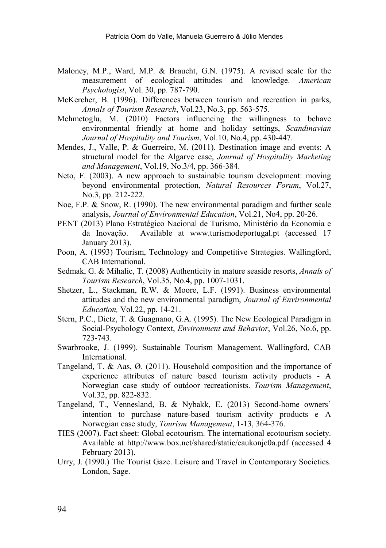- Maloney, M.P., Ward, M.P. & Braucht, G.N. (1975). A revised scale for the measurement of ecological attitudes and knowledge. *American Psychologist*, Vol. 30, pp. 787-790.
- McKercher, B. (1996). Differences between tourism and recreation in parks, *Annals of Tourism Research*, Vol.23, No.3, pp. 563-575.
- Mehmetoglu, M. (2010) Factors influencing the willingness to behave environmental friendly at home and holiday settings, *Scandinavian Journal of Hospitality and Tourism*, Vol.10, No.4, pp. 430-447.
- Mendes, J., Valle, P. & Guerreiro, M. (2011). Destination image and events: A structural model for the Algarve case, *Journal of Hospitality Marketing and Management*, Vol.19, No.3/4, pp. 366-384.
- Neto, F. (2003). A new approach to sustainable tourism development: moving beyond environmental protection, *Natural Resources Forum*, Vol.27, No.3, pp. 212-222.
- Noe, F.P. & Snow, R. (1990). The new environmental paradigm and further scale analysis, *Journal of Environmental Education*, Vol.21, No4, pp. 20-26.
- PENT (2013) Plano Estratégico Nacional de Turismo, Ministério da Economia e Available at [www.turismodeportugal.pt](http://www.turismodeportugal.pt/) (accessed 17 January 2013).
- Poon, A. (1993) Tourism, Technology and Competitive Strategies. Wallingford, CAB International.
- Sedmak, G. & Mihalic, T. (2008) Authenticity in mature seaside resorts, *[Annals of](http://www.sciencedirect.com/science/journal/01607383)  [Tourism Research](http://www.sciencedirect.com/science/journal/01607383)*, Vol.35, No.4, pp. 1007-1031.
- Shetzer, L., Stackman, R.W. & Moore, L.F. (1991). Business environmental attitudes and the new environmental paradigm, *Journal of Environmental Education,* Vol.22, pp. 14-21.
- Stern, P.C., Dietz, T. & Guagnano, G.A. (1995). The New Ecological Paradigm in Social-Psychology Context, *Environment and Behavior*, Vol.26, No.6, pp. 723-743.
- Swarbrooke, J. (1999). Sustainable Tourism Management. Wallingford, CAB International.
- Tangeland, T. & Aas, Ø. (2011). Household composition and the importance of experience attributes of nature based tourism activity products - A Norwegian case study of outdoor recreationists. *Tourism Management*, Vol.32, pp. 822-832.
- Tangeland, T., Vennesland, B. & Nybakk, E. (2013) Second-home owners' intention to purchase nature-based tourism activity products e A Norwegian case study, *Tourism Management*, 1-13, 364-376.
- TIES (2007). Fact sheet: Global ecotourism. The international ecotourism society. Available at<http://www.box.net/shared/static/eaukonjc0a.pdf> (accessed 4 February 2013).
- Urry, J. (1990.) The Tourist Gaze. Leisure and Travel in Contemporary Societies. London, Sage.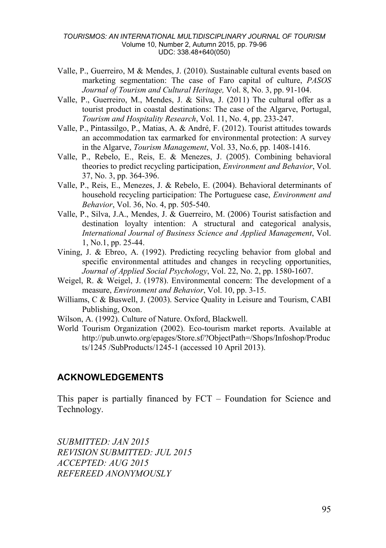- Valle, P., Guerreiro, M & Mendes, J. (2010). Sustainable cultural events based on marketing segmentation: The case of Faro capital of culture, *PASOS Journal of Tourism and Cultural Heritage,* Vol. 8, No. 3, pp. 91-104.
- Valle, P., Guerreiro, M., Mendes, J. & Silva, J. (2011) The cultural offer as a tourist product in coastal destinations: The case of the Algarve, Portugal, *Tourism and Hospitality Research*, Vol. 11, No. 4, pp. 233-247.
- Valle, P., Pintassilgo, P., Matias, A. & André, F. (2012). Tourist attitudes towards an accommodation tax earmarked for environmental protection: A survey in the Algarve, *Tourism Management*, Vol. 33, No.6, pp. 1408-1416.
- Valle, P., Rebelo, E., Reis, E. & Menezes, J. (2005). Combining behavioral theories to predict recycling participation, *Environment and Behavior*, Vol. 37, No. 3, pp. 364-396.
- Valle, P., Reis, E., Menezes, J. & Rebelo, E. (2004). Behavioral determinants of household recycling participation: The Portuguese case, *Environment and Behavior*, Vol. 36, No. 4, pp. 505-540.
- Valle, P., Silva, J.A., Mendes, J. & Guerreiro, M. (2006) Tourist satisfaction and destination loyalty intention: A structural and categorical analysis, *International Journal of Business Science and Applied Management*, Vol. 1, No.1, pp. 25-44.
- Vining, J. & Ebreo, A. (1992). Predicting recycling behavior from global and specific environmental attitudes and changes in recycling opportunities, *Journal of Applied Social Psychology*, Vol. 22, No. 2, pp. 1580-1607.
- Weigel, R. & Weigel, J. (1978). Environmental concern: The development of a measure, *Environment and Behavior*, Vol. 10, pp. 3-15.
- Williams, C & Buswell, J. (2003). Service Quality in Leisure and Tourism, CABI Publishing, Oxon.
- Wilson, A. (1992). Culture of Nature. Oxford, Blackwell.
- World Tourism Organization (2002). Eco-tourism market reports. Available at [http://pub.unwto.org/epages/Store.sf/?ObjectPath=/Shops/Infoshop/Produc](http://pub.unwto.org/epages/Store.sf/?ObjectPath=/Shops/Infoshop/Products/1245%20/SubProducts/1245-1) [ts/1245 /SubProducts/1245-1](http://pub.unwto.org/epages/Store.sf/?ObjectPath=/Shops/Infoshop/Products/1245%20/SubProducts/1245-1) (accessed 10 April 2013).

#### **ACKNOWLEDGEMENTS**

This paper is partially financed by FCT – Foundation for Science and Technology.

*SUBMITTED: JAN 2015 REVISION SUBMITTED: JUL 2015 ACCEPTED: AUG 2015 REFEREED ANONYMOUSLY*